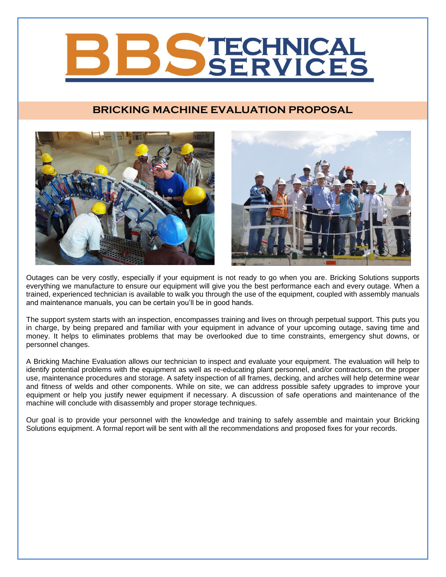# ECHNICA SERVICES

# **BRICKING MACHINE EVALUATION PROPOSAL**



Outages can be very costly, especially if your equipment is not ready to go when you are. Bricking Solutions supports everything we manufacture to ensure our equipment will give you the best performance each and every outage. When a trained, experienced technician is available to walk you through the use of the equipment, coupled with assembly manuals and maintenance manuals, you can be certain you'll be in good hands.

The support system starts with an inspection, encompasses training and lives on through perpetual support. This puts you in charge, by being prepared and familiar with your equipment in advance of your upcoming outage, saving time and money. It helps to eliminates problems that may be overlooked due to time constraints, emergency shut downs, or personnel changes.

A Bricking Machine Evaluation allows our technician to inspect and evaluate your equipment. The evaluation will help to identify potential problems with the equipment as well as re-educating plant personnel, and/or contractors, on the proper use, maintenance procedures and storage. A safety inspection of all frames, decking, and arches will help determine wear and fitness of welds and other components. While on site, we can address possible safety upgrades to improve your equipment or help you justify newer equipment if necessary. A discussion of safe operations and maintenance of the machine will conclude with disassembly and proper storage techniques.

Our goal is to provide your personnel with the knowledge and training to safely assemble and maintain your Bricking Solutions equipment. A formal report will be sent with all the recommendations and proposed fixes for your records.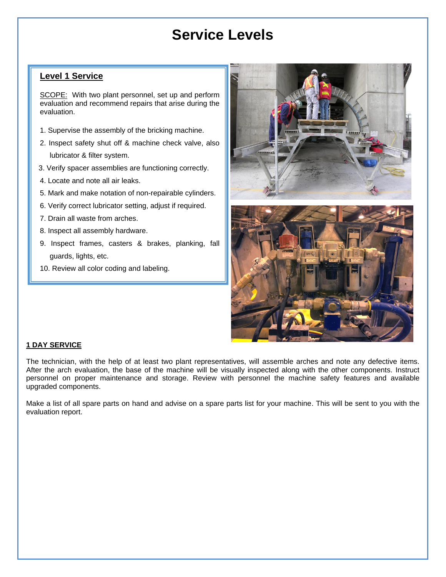# **Service Levels**

## **Level 1 Service**

SCOPE: With two plant personnel, set up and perform evaluation and recommend repairs that arise during the evaluation.

- 1. Supervise the assembly of the bricking machine.
- 2. Inspect safety shut off & machine check valve, also lubricator & filter system.
- 3. Verify spacer assemblies are functioning correctly.
- 4. Locate and note all air leaks.
- 5. Mark and make notation of non-repairable cylinders.
- 6. Verify correct lubricator setting, adjust if required.
- 7. Drain all waste from arches.
- 8. Inspect all assembly hardware.
- 9. Inspect frames, casters & brakes, planking, fall guards, lights, etc.
- 10. Review all color coding and labeling.





#### **1 DAY SERVICE**

The technician, with the help of at least two plant representatives, will assemble arches and note any defective items. After the arch evaluation, the base of the machine will be visually inspected along with the other components. Instruct personnel on proper maintenance and storage. Review with personnel the machine safety features and available upgraded components.

Make a list of all spare parts on hand and advise on a spare parts list for your machine. This will be sent to you with the evaluation report.